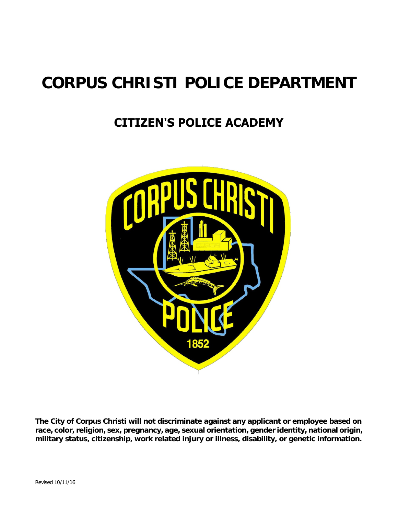## **CORPUS CHRISTI POLICE DEPARTMENT**

## **CITIZEN'S POLICE ACADEMY**



**The City of Corpus Christi will not discriminate against any applicant or employee based on race, color, religion, sex, pregnancy, age, sexual orientation, gender identity, national origin, military status, citizenship, work related injury or illness, disability, or genetic information.**